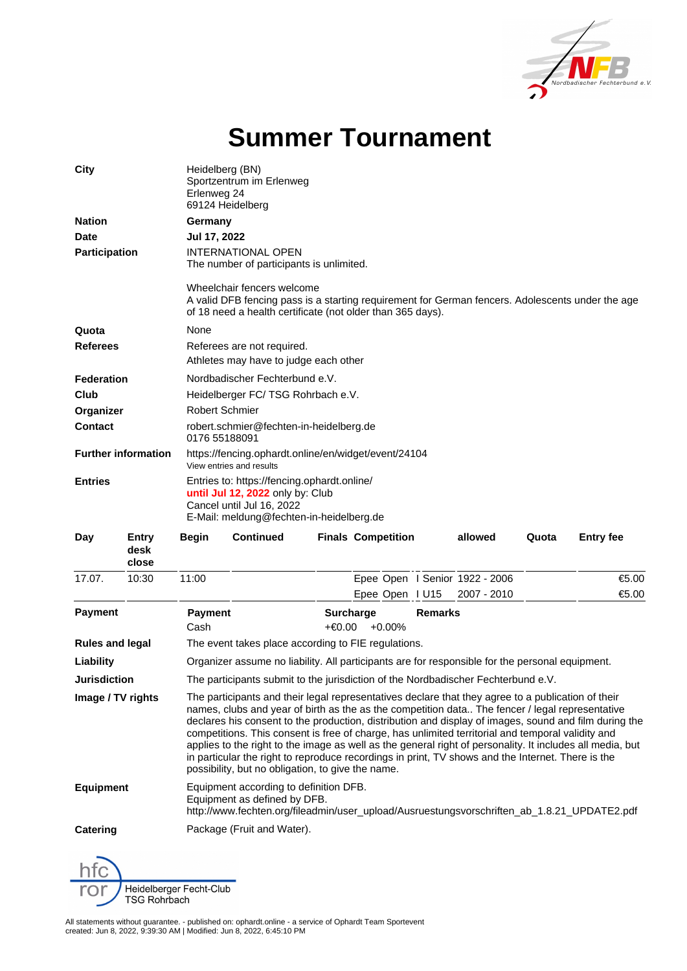

## **Summer Tournament**

| City<br><b>Nation</b><br><b>Date</b><br><b>Participation</b> |                        | Heidelberg (BN)<br>Sportzentrum im Erlenweg<br>Erlenweg 24<br>69124 Heidelberg<br>Germany<br>Jul 17, 2022<br><b>INTERNATIONAL OPEN</b><br>The number of participants is unlimited.                                                                                                                                                                                                                                                                                                                                               |                  |                                |                                                            |  |                                |       |                  |                                                                                                                                                                                              |  |                                                                     |  |  |  |  |  |  |  |
|--------------------------------------------------------------|------------------------|----------------------------------------------------------------------------------------------------------------------------------------------------------------------------------------------------------------------------------------------------------------------------------------------------------------------------------------------------------------------------------------------------------------------------------------------------------------------------------------------------------------------------------|------------------|--------------------------------|------------------------------------------------------------|--|--------------------------------|-------|------------------|----------------------------------------------------------------------------------------------------------------------------------------------------------------------------------------------|--|---------------------------------------------------------------------|--|--|--|--|--|--|--|
|                                                              |                        |                                                                                                                                                                                                                                                                                                                                                                                                                                                                                                                                  |                  |                                |                                                            |  |                                |       |                  | Wheelchair fencers welcome<br>A valid DFB fencing pass is a starting requirement for German fencers. Adolescents under the age<br>of 18 need a health certificate (not older than 365 days). |  |                                                                     |  |  |  |  |  |  |  |
|                                                              |                        |                                                                                                                                                                                                                                                                                                                                                                                                                                                                                                                                  |                  |                                |                                                            |  |                                |       |                  | Quota                                                                                                                                                                                        |  | None                                                                |  |  |  |  |  |  |  |
|                                                              |                        |                                                                                                                                                                                                                                                                                                                                                                                                                                                                                                                                  |                  |                                |                                                            |  |                                |       |                  | <b>Referees</b>                                                                                                                                                                              |  | Referees are not required.<br>Athletes may have to judge each other |  |  |  |  |  |  |  |
|                                                              |                        | <b>Federation</b>                                                                                                                                                                                                                                                                                                                                                                                                                                                                                                                |                  | Nordbadischer Fechterbund e.V. |                                                            |  |                                |       |                  |                                                                                                                                                                                              |  |                                                                     |  |  |  |  |  |  |  |
| Club                                                         |                        | Heidelberger FC/TSG Rohrbach e.V.                                                                                                                                                                                                                                                                                                                                                                                                                                                                                                |                  |                                |                                                            |  |                                |       |                  |                                                                                                                                                                                              |  |                                                                     |  |  |  |  |  |  |  |
| Organizer                                                    |                        | Robert Schmier                                                                                                                                                                                                                                                                                                                                                                                                                                                                                                                   |                  |                                |                                                            |  |                                |       |                  |                                                                                                                                                                                              |  |                                                                     |  |  |  |  |  |  |  |
| Contact                                                      |                        | robert.schmier@fechten-in-heidelberg.de<br>0176 55188091                                                                                                                                                                                                                                                                                                                                                                                                                                                                         |                  |                                |                                                            |  |                                |       |                  |                                                                                                                                                                                              |  |                                                                     |  |  |  |  |  |  |  |
| <b>Further information</b>                                   |                        | https://fencing.ophardt.online/en/widget/event/24104<br>View entries and results                                                                                                                                                                                                                                                                                                                                                                                                                                                 |                  |                                |                                                            |  |                                |       |                  |                                                                                                                                                                                              |  |                                                                     |  |  |  |  |  |  |  |
| <b>Entries</b>                                               |                        | Entries to: https://fencing.ophardt.online/<br>until Jul 12, 2022 only by: Club<br>Cancel until Jul 16, 2022<br>E-Mail: meldung@fechten-in-heidelberg.de                                                                                                                                                                                                                                                                                                                                                                         |                  |                                |                                                            |  |                                |       |                  |                                                                                                                                                                                              |  |                                                                     |  |  |  |  |  |  |  |
| Day                                                          | Entry<br>desk<br>close | <b>Begin</b>                                                                                                                                                                                                                                                                                                                                                                                                                                                                                                                     | <b>Continued</b> |                                | <b>Finals Competition</b>                                  |  | allowed                        | Quota | <b>Entry fee</b> |                                                                                                                                                                                              |  |                                                                     |  |  |  |  |  |  |  |
| 17.07.                                                       | 10:30                  | 11:00                                                                                                                                                                                                                                                                                                                                                                                                                                                                                                                            |                  |                                |                                                            |  | Epee Open I Senior 1922 - 2006 |       | €5.00            |                                                                                                                                                                                              |  |                                                                     |  |  |  |  |  |  |  |
|                                                              |                        |                                                                                                                                                                                                                                                                                                                                                                                                                                                                                                                                  |                  |                                | Epee Open   U15                                            |  | 2007 - 2010                    |       | €5.00            |                                                                                                                                                                                              |  |                                                                     |  |  |  |  |  |  |  |
| <b>Payment</b>                                               |                        | Payment<br>Cash                                                                                                                                                                                                                                                                                                                                                                                                                                                                                                                  |                  |                                | <b>Surcharge</b><br><b>Remarks</b><br>$+€0.00$<br>$+0.00%$ |  |                                |       |                  |                                                                                                                                                                                              |  |                                                                     |  |  |  |  |  |  |  |
| <b>Rules and legal</b>                                       |                        | The event takes place according to FIE regulations.                                                                                                                                                                                                                                                                                                                                                                                                                                                                              |                  |                                |                                                            |  |                                |       |                  |                                                                                                                                                                                              |  |                                                                     |  |  |  |  |  |  |  |
| Liability                                                    |                        | Organizer assume no liability. All participants are for responsible for the personal equipment.                                                                                                                                                                                                                                                                                                                                                                                                                                  |                  |                                |                                                            |  |                                |       |                  |                                                                                                                                                                                              |  |                                                                     |  |  |  |  |  |  |  |
| <b>Jurisdiction</b>                                          |                        | The participants submit to the jurisdiction of the Nordbadischer Fechterbund e.V.                                                                                                                                                                                                                                                                                                                                                                                                                                                |                  |                                |                                                            |  |                                |       |                  |                                                                                                                                                                                              |  |                                                                     |  |  |  |  |  |  |  |
| Image / TV rights                                            |                        | The participants and their legal representatives declare that they agree to a publication of their<br>names, clubs and year of birth as the as the competition data The fencer / legal representative<br>declares his consent to the production, distribution and display of images, sound and film during the<br>competitions. This consent is free of charge, has unlimited territorial and temporal validity and<br>applies to the right to the image as well as the general right of personality. It includes all media, but |                  |                                |                                                            |  |                                |       |                  |                                                                                                                                                                                              |  |                                                                     |  |  |  |  |  |  |  |

in particular the right to reproduce recordings in print, TV shows and the Internet. There is the possibility, but no obligation, to give the name. **Equipment** Equipment according to definition DFB. Equipment as defined by DFB. http://www.fechten.org/fileadmin/user\_upload/Ausruestungsvorschriften\_ab\_1.8.21\_UPDATE2.pdf

**Catering** Package (Fruit and Water).

Heidelberger Fecht-Club **TSG Rohrbach** 

All statements without guarantee. - published on: ophardt.online - a service of Ophardt Team Sportevent created: Jun 8, 2022, 9:39:30 AM | Modified: Jun 8, 2022, 6:45:10 PM